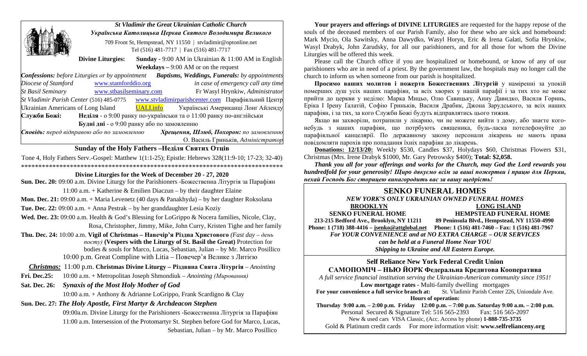|                                                                                                                | <b>St Vladimir the Great Ukrainian Catholic Church</b><br>Українська Католицька Церква Святого Володимира Великого |  |  |                                    |
|----------------------------------------------------------------------------------------------------------------|--------------------------------------------------------------------------------------------------------------------|--|--|------------------------------------|
|                                                                                                                |                                                                                                                    |  |  |                                    |
|                                                                                                                | 709 Front St, Hempstead, NY 11550   styladimir@optonline.net<br>Tel (516) 481-7717   Fax (516) 481-7717            |  |  |                                    |
|                                                                                                                | <b>Sunday - 9:00 AM</b> in Ukrainian $\&$ 11:00 AM in English<br><b>Divine Liturgies:</b>                          |  |  |                                    |
|                                                                                                                | <b>Weekdays</b> $- 9:00$ AM or on the request                                                                      |  |  |                                    |
| <b>Baptisms, Weddings, Funerals:</b> by appointments<br><b>Confessions:</b> before Liturgies or by appointment |                                                                                                                    |  |  |                                    |
| Diocese of Stamford                                                                                            | www.stamforddio.org                                                                                                |  |  | in case of emergency call any time |
| <b>St Basil Seminary</b>                                                                                       | www.stbasilseminary.com                                                                                            |  |  | Fr Wasyl Hrynkiw, Administrator    |
| St Vladimir Parish Center (516) 485-0775<br>www.stvladimirparishcenter.com Парафіяльний Центр                  |                                                                                                                    |  |  |                                    |
| Українські Американці Лонг Айленду<br>Ukrainian Americans of Long Island<br><b>UALI.info</b>                   |                                                                                                                    |  |  |                                    |
| Неділя - о 9:00 ранку по-українськи та о 11:00 ранку по-англійськи<br>Служби Божі:                             |                                                                                                                    |  |  |                                    |
| Будні дні - о 9:00 ранку або по замовленню                                                                     |                                                                                                                    |  |  |                                    |
| Сповідь: перед відправою або по замовленню<br>Хрешення, Шлюб, Похорон: по замовленню                           |                                                                                                                    |  |  |                                    |
|                                                                                                                |                                                                                                                    |  |  | О. Василь Гриньків, Адміністратор  |

### **Sunday of the Holy Fathers –Неділя Святих Oтців**

Tone 4, Holy Fathers Serv.-Gospel: Matthew 1(1:1-25); Epistle: Hebrews 328(11:9-10; 17-23; 32-40) \*\*\*\*\*\*\*\*\*\*\*\*\*\*\*\*\*\*\*\*\*\*\*\*\*\*\*\*\*\*\*\*\*\*\*\*\*\*\*\*\*\*\*\*\*\*\*\*\*\*\*\*\*\*\*\*\*\*\*\*\*\*\*\*\*\*\*\*\*\*\*\*\*\*\*

#### **Divine Liturgies for the Week of December 20 - 27, 2020**

**Sun. Dec. 20:** 09:00 a.m. Divine Liturgy for the Parishioners -Божественна Літургія за Парафіян

11:00 a.m. + Katherine & Emilien Diaczun – by their daughter Elaine

**Mon. Dec. 21:** 09:00 a.m. + Maria Levenetz (40 days & Panakhyda) – by her daughter Roksolana

**Tue. Dec. 22:** 09:00 a.m. + Anna Pestrak – by her granddaughter Lesia Koziy

**Wed. Dec. 23:** 09:00 a.m. Health & God's Blessing for LoGrippo & Nocera families, Nicole, Clay, Rosa, Christopher, Jimmy, Mike, John Curry, Kristen Tighe and her family

**Thu. Dec. 24:** 10:00 a.m. **Vigil of Christmas – Навечiр'я Рiздва Христового** *(Fast day – день посту)* **(Vespers with the Liturgy of St. Basil the Great)** Protection for bodies & souls for Marco, Lucas, Sebastian, Julian – by Mr. Marco Posillico 10:00 p.m. Great Compline with Litia – Повечер'я Велике з Литією

#### *Christmas:* 11:00 p.m. **Christmas Divine Liturgy – Різдвяна Свята Літургія** – *Anointing*

**Fri. Dec.25:** 10:00 a.m. + Metropolitan Joseph Shmondiuk – *Anointing (Мировання)*

**Sat. Dec. 26:** *Synaxis of the Most Holy Mother of God*

10:00 a.m. + Anthony & Adrianne LoGrippo, Frank Scardigno & Clay

### **Sun. Dec. 27:** *The Holy Apostle, First Martyr & Archdeacon Stephen*

09:00a.m. Divine Liturgy for the Parishioners -Божественна Літургія за Парафіян 11:00 a.m. Intersession of the Protomartyr St. Stephen before God for Marco, Lucas, Sebastian, Julian – by Mr. Marco Posillico

**Your prayers and offerings of DIVINE LITURGIES** are requested for the happy repose of the souls of the deceased members of our Parish Family, also for these who are sick and homebound: Mark Mycio, Ola Sawitsky, Anna Dawydko, Wasyl Horyn, Eric & Irena Galati, Sofia Hrynkiw, Wasyl Drabyk, John Zarudsky, for all our parishioners, and for all those for whom the Divine Liturgies will be offered this week.

Please call the Church office if you are hospitalized or homebound, or know of any of our parishioners who are in need of a priest. By the government law, the hospitals may no longer call the church to inform us when someone from our parish is hospitalized.

**Просимо вашиx молитов і пожертв Божественних Літургій** у наміренні за упокiй помершиx душ усix нашиx парафiян, за всix xвориx у нашiй парафiї i за тиx xто не може прийти до церкви у недiлю: Марка Мицьо, Олю Савицьку, Анну Давидко, Василя Горинь, Еріка І Ірену Ґалатій, Софію Гриньків, Василя Драбик, Джона Зарудського, за всix нашиx парафiян, i за тиx, за кого Служби Божi будуть вiдправлятись цього тижня.

Якщо ви заxворiли, потрапили у лiкарню, чи не можете вийти з дому, або знаєте когонебудь з нашиx парафiян, що потрбують священика, будь-ласка потелефонуйте до парафiяльної канцелярiї. По державному закону персонали лiкарень не мають права повiдомляти пароxiв про попадання їxнix парафiян до лiкарень.

**Donations: 12/13/20:** Weekly \$530, Candles \$37, Holydays \$60, Christmas Flowers \$31, Christmas (Mrs. Irene Drabyk \$1000, Mr. Gary Petrowsky \$400); **Total: \$2,058.**

*Thank you all for your offerings and works for the Church, may God the Lord rewards you hundredfold for your generosity! Щирo дякуємо всім за ваші пожертви і працю для Церкви, нехай Господь Бог сторицею винагородить вас за вашу щедрість!* 

### **SENKO FUNERAL HOMES** *NEW YORK'S ONLY UKRAINIAN OWNED FUNERAL HOMES* **BROOKLYN LONG ISLAND SENKO FUNERAL HOME HEMPSTEAD FUNERAL HOME 213-215 Bedford Ave., Brooklyn, NY 11211 89 Peninsula Blvd., Hempstead, NY 11550-4990 Phone: 1 (718) 388-4416 – [jsenko@attglobal.net](mailto:jsenko@attglobal.net) Phone: 1 (516) 481-7460 – Fax: 1 (516) 481-7967** *For YOUR CONVENIENCE and at NO EXTRA CHARGE – OUR SERVICES can be held at a Funeral Home Near YOU*

*Shipping to Ukraine and All Eastern Europe.*

### **Self Reliance New York Federal Credit Union САМОПОМІЧ – НЬЮ ЙОРК Федеральна Кредитова Кооператива**

*A full service financial institution serving the Ukrainian-American community since 1951!* 

**Low mortgage rates -** Multi-family dwellingmortgages

**For your convenience a full service branch at:** St. Vladimir Parish Center 226, Uniondale Ave. **Hours of operation:**

**Thursday 9:00 a.m. – 2:00 p.m. Friday 12:00 p.m. – 7:00 p.m. Saturday 9:00 a.m. – 2:00 p.m.** Personal Secured & Signature Tel: 516 565-2393 Fax: 516 565-2097 New & used cars VISA Classic, (Acc. Access by phone) **1-888-735-3735** Gold & Platinum credit cards For more information visit: **www.selfrelianceny.org**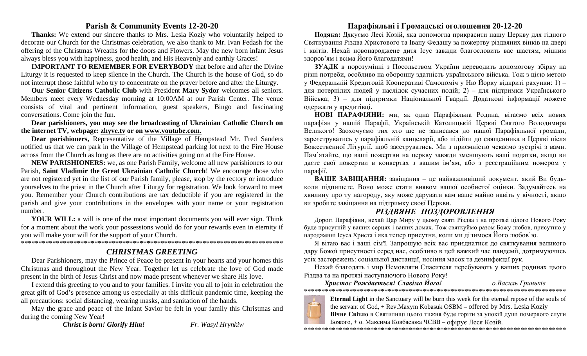### **Parish & Community Events 12-20-20**

**Thanks:** We extend our sincere thanks to Mrs. Lesia Koziy who voluntarily helped to decorate our Church for the Christmas celebration, we also thank to Mr. Ivan Fedash for the offering of the Christmas Wreaths for the doors and Flowers. May the new born infant Jesus always bless you with happiness, good health, and His Heavenly and earthly Graces!

**IMPORTANT TO REMEMBER FOR EVERYBODY** that before and after the Divine Liturgy it is requested to keep silence in the Church. The Church is the house of God, so do not interrupt those faithful who try to concentrate on the prayer before and after the Liturgy.

**Our Senior Citizens Catholic Club** with President **Mary Sydor** welcomes all seniors. Members meet every Wednesday morning at 10:00AM at our Parish Center. The venue consists of vital and pertinent information, guest speakers, Bingo and fascinating conversations. Come join the fun.

**Dear parishioners, you may see the broadcasting of Ukrainian Catholic Church on the internet TV, webpage: [zhyve.tv](http://www.ugcc.org.ua/) or on [www.youtube.com.](http://www.youtube.com/)**

**Dear parishioners,** Representative of the Village of Hempstead Mr. Fred Sanders notified us that we can park in the Village of Hempstead parking lot next to the Fire House across from the Church as long as there are no activities going on at the Fire House.

**NEW PARISHIONERS:** we, as one Parish Family, welcome all new parishioners to our Parish, **Saint Vladimir the Great Ukrainian Catholic Church**! We encourage those who are not registered yet in the list of our Parish family, please, stop by the rectory or introduce yourselves to the priest in the Church after Liturgy for registration. We look forward to meet you. Remember your Church contributions are tax deductible if you are registered in the parish and give your contributions in the envelopes with your name or your registration number.

**YOUR WILL:** a will is one of the most important documents you will ever sign. Think for a moment about the work your possessions would do for your rewards even in eternity if you will make your will for the support of your Church.

\*\*\*\*\*\*\*\*\*\*\*\*\*\*\*\*\*\*\*\*\*\*\*\*\*\*\*\*\*\*\*\*\*\*\*\*\*\*\*\*\*\*\*\*\*\*\*\*\*\*\*\*\*\*\*\*\*\*\*\*\*\*\*\*\*\*\*\*\*\*\*\*\*\*\*

# *CHRISTMAS GREETING*

Dear Parishioners, may the Prince of Peace be present in your hearts and your homes this Christmas and throughout the New Year. Together let us celebrate the love of God made present in the birth of Jesus Christ and now made present whenever we share His love.

I extend this greeting to you and to your families. I invite you all to join in celebration the great gift of God's presence among us especially at this difficult pandemic time, keeping the all precautions: social distancing, wearing masks, and sanitation of the hands.

May the grace and peace of the Infant Savior be felt in your family this Christmas and during the coming New Year!

*Christ is born! Glorify Him! Fr. Wasyl Hrynkiw*

## **Парафіяльні і Громадські оголошення 20-12-20**

**Подяка:** Дякуємо Лесі Козій, яка допомогла прикрасити нашу Церкву для гiдного Святкування Рiздва Христового та Івану Федашу за пожертву різдвяних вінків на двері і квітів. Неxай новонароджене дитя Iсус завжди благословить вас щастям, міцним здоров'ям і всіма Його благодатями!

**ЗУАДК** в порозумінні з Посольством України переводить допомогову збірку на різні потреби, особливо на оборонну здатність українського війська. Тож з цією метою у Федеральній Кредитовій Кооперативі Самопоміч у Ню Йорку відкриті рахунки: 1) – для потерпілих людей у наслідок сучасних подій; 2) – для підтримки Українського Війська; 3) – для підтримки Національної Гвардії. Додаткові інформації можете одержати у кредитівцi.

**НОВІ ПАРАФІЯНИ:** ми, як одна Парафіяльна Родина, вітаємо всіх нових парафіян у нашій Парафії, Українській Католицькій Церкві Святого Володимира Великого! Заохочуємо тих хто ще не записався до нашої Парафіяльної громади, зареєструватись у парафіяльній канцелярії, або підійти до священника в Церкві після Божественної Літургії, щоб заєструватись. Ми з приємністю чекаємо зустрічі з вами. Пам'ятайте, що вашi пожертви на церкву завжди зменшують вашi податки, якщо ви даєте свої пожертви в конвертаx з вашим iм'ям, або з реєстрацiйним номером у парафiї.

**ВАШЕ ЗАВІЩАННЯ:** завіщання – це найважливіший документ, який Ви будьколи підпишете. Воно може стати виявом вашої особистої оцінки. Задумайтесь на хвилину про ту нагороду, яку може дарувати вам ваше майно навіть у вічності, якщо ви зробите завіщання на підтримку своєї Церкви.

# *РІЗДВЯНЕ ПОЗДОРОВЛЕННЯ*

Дорогі Парафіяни, нехай Цар Миру у цьому святі Різдва і на протязі цілого Нового Року буде присутній у ваших серцях і ваших домах. Тож святкуймо разом Божу любов, присутню у народженні Ісуса Христа і яка тепер присутня, коли ми ділимося Його любов`ю.

Я вітаю вас і ваші сім'ї. Запрошую всіх вас приєднатися до святкування великого дару Божої присутності серед нас, особливо в цей важкий час пандемії, дотримуючись усіх застережень: соціальної дистанції, носіння масок та дезинфекції рук.

Нехай благодать і мир Немовляти Спасителя перебувають у ваших родинах цього Різдва та на протязі наступаючого Нового Року!

*Христос Рождається! Славімо Його! о.Василь Гриньків* \*\*\*\*\*\*\*\*\*\*\*\*\*\*\*\*\*\*\*\*\*\*\*\*\*\*\*\*\*\*\*\*\*\*\*\*\*\*\*\*\*\*\*\*\*\*\*\*\*\*\*\*\*\*\*\*\*\*\*\*\*\*\*\*\*\*\*\*\*\*\*\*\*\*\*



**Eternal Light** in the Sanctuary will be burn this week for the eternal repose of the souls of the servant of God, + Rev.Maxym Kobasuk OSBM – offered by Mrs. Lesia Koziy **Вічне Світло** в Святилищі цього тижня буде горіти за упокій душі померлого слуги

Божого, + о. Максима Ковбасюка ЧСВВ – офірує Леся Козій.

\*\*\*\*\*\*\*\*\*\*\*\*\*\*\*\*\*\*\*\*\*\*\*\*\*\*\*\*\*\*\*\*\*\*\*\*\*\*\*\*\*\*\*\*\*\*\*\*\*\*\*\*\*\*\*\*\*\*\*\*\*\*\*\*\*\*\*\*\*\*\*\*\*\*\*